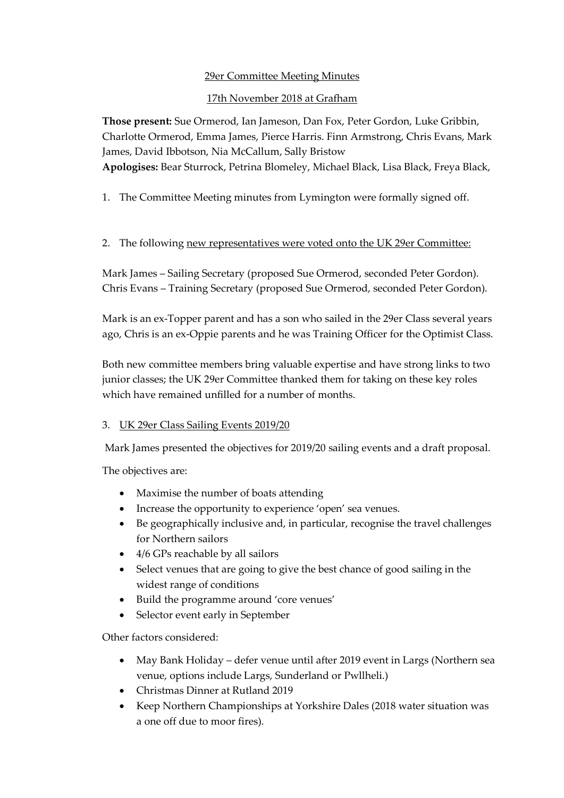## 29er Committee Meeting Minutes

## 17th November 2018 at Grafham

**Those present:** Sue Ormerod, Ian Jameson, Dan Fox, Peter Gordon, Luke Gribbin, Charlotte Ormerod, Emma James, Pierce Harris. Finn Armstrong, Chris Evans, Mark James, David Ibbotson, Nia McCallum, Sally Bristow **Apologises:** Bear Sturrock, Petrina Blomeley, Michael Black, Lisa Black, Freya Black,

1. The Committee Meeting minutes from Lymington were formally signed off.

## 2. The following new representatives were voted onto the UK 29er Committee:

Mark James – Sailing Secretary (proposed Sue Ormerod, seconded Peter Gordon). Chris Evans – Training Secretary (proposed Sue Ormerod, seconded Peter Gordon).

Mark is an ex-Topper parent and has a son who sailed in the 29er Class several years ago, Chris is an ex-Oppie parents and he was Training Officer for the Optimist Class.

Both new committee members bring valuable expertise and have strong links to two junior classes; the UK 29er Committee thanked them for taking on these key roles which have remained unfilled for a number of months.

## 3. UK 29er Class Sailing Events 2019/20

Mark James presented the objectives for 2019/20 sailing events and a draft proposal.

The objectives are:

- Maximise the number of boats attending
- Increase the opportunity to experience 'open' sea venues.
- Be geographically inclusive and, in particular, recognise the travel challenges for Northern sailors
- 4/6 GPs reachable by all sailors
- Select venues that are going to give the best chance of good sailing in the widest range of conditions
- Build the programme around 'core venues'
- Selector event early in September

Other factors considered:

- May Bank Holiday defer venue until after 2019 event in Largs (Northern sea venue, options include Largs, Sunderland or Pwllheli.)
- Christmas Dinner at Rutland 2019
- Keep Northern Championships at Yorkshire Dales (2018 water situation was a one off due to moor fires).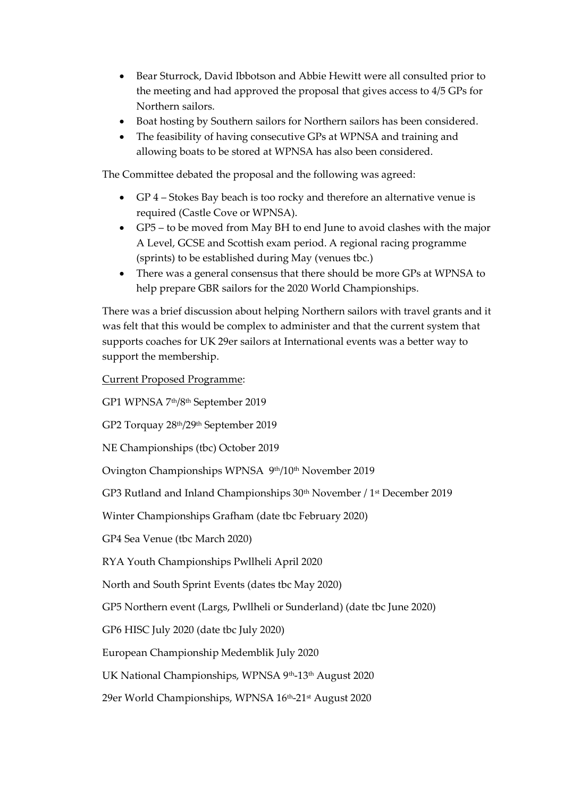- Bear Sturrock, David Ibbotson and Abbie Hewitt were all consulted prior to the meeting and had approved the proposal that gives access to 4/5 GPs for Northern sailors.
- Boat hosting by Southern sailors for Northern sailors has been considered.
- The feasibility of having consecutive GPs at WPNSA and training and allowing boats to be stored at WPNSA has also been considered.

The Committee debated the proposal and the following was agreed:

- GP 4 Stokes Bay beach is too rocky and therefore an alternative venue is required (Castle Cove or WPNSA).
- GP5 to be moved from May BH to end June to avoid clashes with the major A Level, GCSE and Scottish exam period. A regional racing programme (sprints) to be established during May (venues tbc.)
- There was a general consensus that there should be more GPs at WPNSA to help prepare GBR sailors for the 2020 World Championships.

There was a brief discussion about helping Northern sailors with travel grants and it was felt that this would be complex to administer and that the current system that supports coaches for UK 29er sailors at International events was a better way to support the membership.

Current Proposed Programme:

GP1 WPNSA 7th/8th September 2019

GP2 Torquay 28th/29th September 2019

NE Championships (tbc) October 2019

Ovington Championships WPNSA 9th/10th November 2019

GP3 Rutland and Inland Championships 30<sup>th</sup> November / 1<sup>st</sup> December 2019

Winter Championships Grafham (date tbc February 2020)

GP4 Sea Venue (tbc March 2020)

RYA Youth Championships Pwllheli April 2020

North and South Sprint Events (dates tbc May 2020)

GP5 Northern event (Largs, Pwllheli or Sunderland) (date tbc June 2020)

GP6 HISC July 2020 (date tbc July 2020)

European Championship Medemblik July 2020

UK National Championships, WPNSA 9th-13th August 2020

29er World Championships, WPNSA 16th-21st August 2020